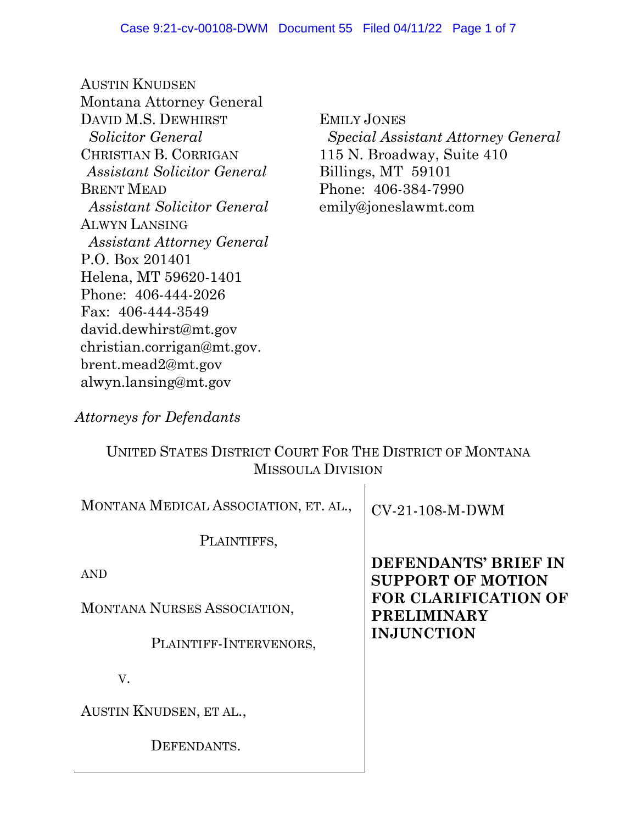AUSTIN KNUDSEN Montana Attorney General DAVID M.S. DEWHIRST *Solicitor General*  CHRISTIAN B. CORRIGAN *Assistant Solicitor General* BRENT MEAD *Assistant Solicitor General* ALWYN LANSING *Assistant Attorney General* P.O. Box 201401 Helena, MT 59620-1401 Phone: 406-444-2026 Fax: 406-444-3549 david.dewhirst@mt.gov christian.corrigan@mt.gov. brent.mead2@mt.gov alwyn.lansing@mt.gov

EMILY JONES  *Special Assistant Attorney General*  115 N. Broadway, Suite 410 Billings, MT 59101 Phone: 406-384-7990 emily@joneslawmt.com

# *Attorneys for Defendants*

## UNITED STATES DISTRICT COURT FOR THE DISTRICT OF MONTANA MISSOULA DIVISION

| MONTANA MEDICAL ASSOCIATION, ET. AL., | $CV-21-108-M-DWM$                                 |
|---------------------------------------|---------------------------------------------------|
| PLAINTIFFS,                           |                                                   |
| <b>AND</b>                            | DEFENDANTS' BRIEF IN<br><b>SUPPORT OF MOTION</b>  |
| MONTANA NURSES ASSOCIATION,           | <b>FOR CLARIFICATION OF</b><br><b>PRELIMINARY</b> |
| PLAINTIFF-INTERVENORS,                | <b>INJUNCTION</b>                                 |
| V.                                    |                                                   |
| AUSTIN KNUDSEN, ET AL.,               |                                                   |
| DEFENDANTS.                           |                                                   |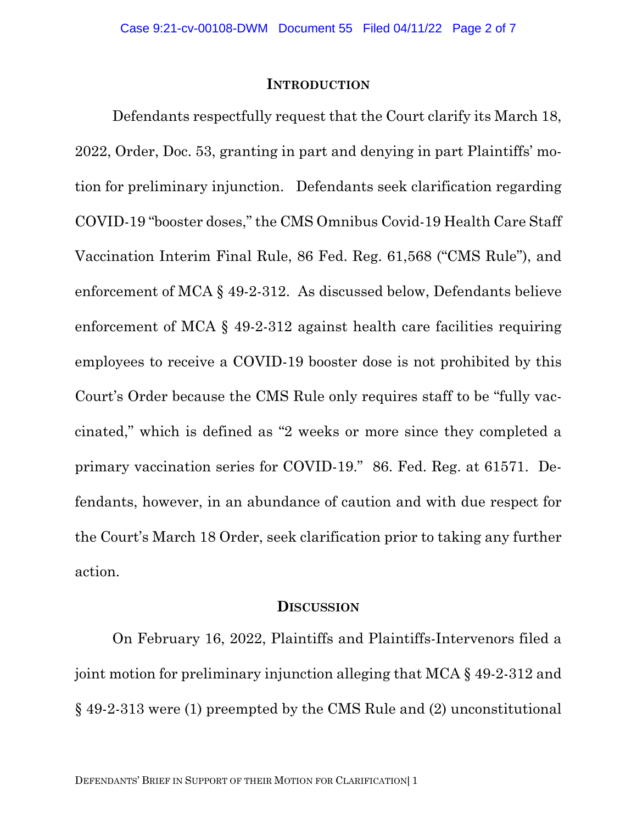#### **INTRODUCTION**

Defendants respectfully request that the Court clarify its March 18, 2022, Order, Doc. 53, granting in part and denying in part Plaintiffs' motion for preliminary injunction. Defendants seek clarification regarding COVID-19 "booster doses," the CMS Omnibus Covid-19 Health Care Staff Vaccination Interim Final Rule, 86 Fed. Reg. 61,568 ("CMS Rule"), and enforcement of MCA § 49-2-312. As discussed below, Defendants believe enforcement of MCA § 49-2-312 against health care facilities requiring employees to receive a COVID-19 booster dose is not prohibited by this Court's Order because the CMS Rule only requires staff to be "fully vaccinated," which is defined as "2 weeks or more since they completed a primary vaccination series for COVID-19." 86. Fed. Reg. at 61571. Defendants, however, in an abundance of caution and with due respect for the Court's March 18 Order, seek clarification prior to taking any further action.

#### **DISCUSSION**

On February 16, 2022, Plaintiffs and Plaintiffs-Intervenors filed a joint motion for preliminary injunction alleging that MCA § 49-2-312 and § 49-2-313 were (1) preempted by the CMS Rule and (2) unconstitutional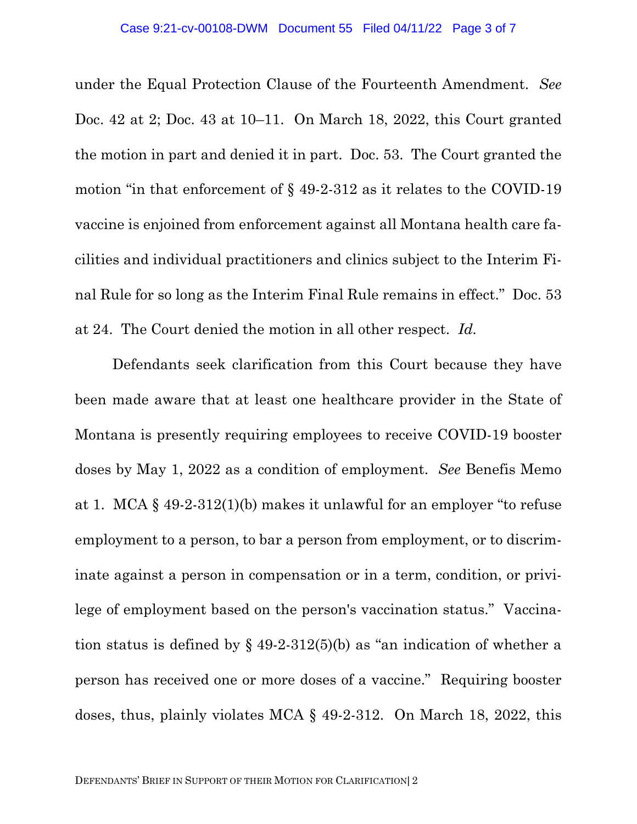under the Equal Protection Clause of the Fourteenth Amendment. *See* Doc. 42 at 2; Doc. 43 at 10–11. On March 18, 2022, this Court granted the motion in part and denied it in part. Doc. 53. The Court granted the motion "in that enforcement of § 49-2-312 as it relates to the COVID-19 vaccine is enjoined from enforcement against all Montana health care facilities and individual practitioners and clinics subject to the Interim Final Rule for so long as the Interim Final Rule remains in effect." Doc. 53 at 24. The Court denied the motion in all other respect. *Id.*

Defendants seek clarification from this Court because they have been made aware that at least one healthcare provider in the State of Montana is presently requiring employees to receive COVID-19 booster doses by May 1, 2022 as a condition of employment. *See* Benefis Memo at 1. MCA § 49-2-312(1)(b) makes it unlawful for an employer "to refuse employment to a person, to bar a person from employment, or to discriminate against a person in compensation or in a term, condition, or privilege of employment based on the person's vaccination status." Vaccination status is defined by  $\S$  49-2-312(5)(b) as "an indication of whether a person has received one or more doses of a vaccine." Requiring booster doses, thus, plainly violates MCA § 49-2-312. On March 18, 2022, this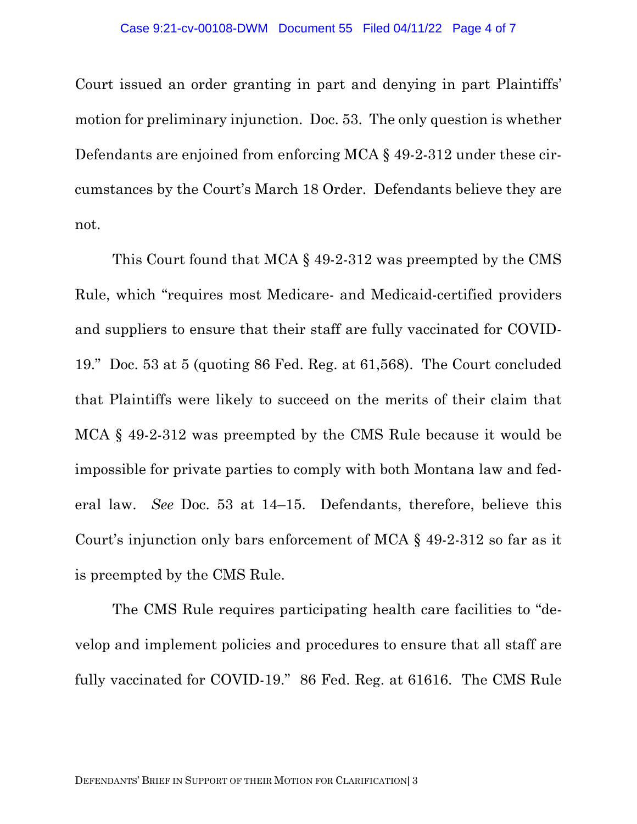Court issued an order granting in part and denying in part Plaintiffs' motion for preliminary injunction. Doc. 53. The only question is whether Defendants are enjoined from enforcing MCA § 49-2-312 under these circumstances by the Court's March 18 Order. Defendants believe they are not.

This Court found that MCA § 49-2-312 was preempted by the CMS Rule, which "requires most Medicare- and Medicaid-certified providers and suppliers to ensure that their staff are fully vaccinated for COVID-19." Doc. 53 at 5 (quoting 86 Fed. Reg. at 61,568). The Court concluded that Plaintiffs were likely to succeed on the merits of their claim that MCA § 49-2-312 was preempted by the CMS Rule because it would be impossible for private parties to comply with both Montana law and federal law. *See* Doc. 53 at 14–15. Defendants, therefore, believe this Court's injunction only bars enforcement of MCA § 49-2-312 so far as it is preempted by the CMS Rule.

The CMS Rule requires participating health care facilities to "develop and implement policies and procedures to ensure that all staff are fully vaccinated for COVID-19." 86 Fed. Reg. at 61616. The CMS Rule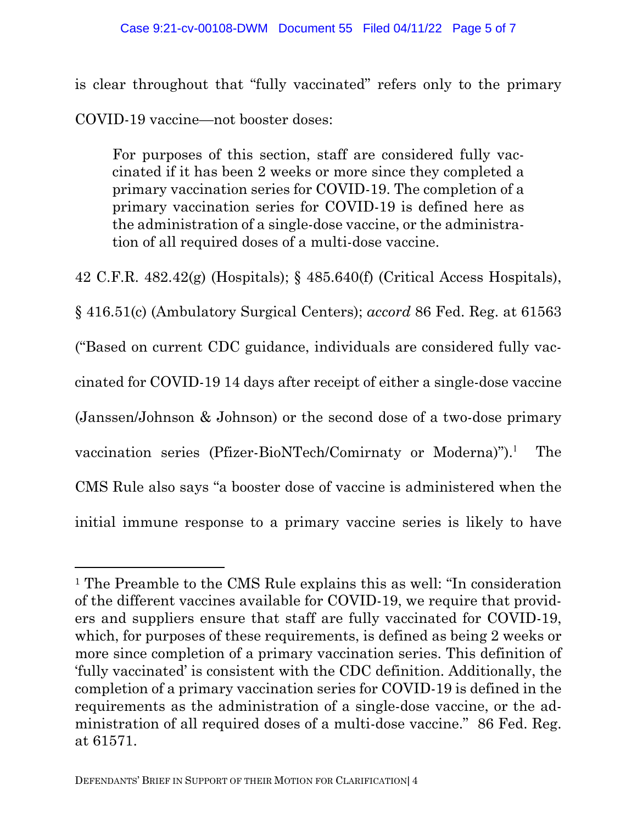### Case 9:21-cv-00108-DWM Document 55 Filed 04/11/22 Page 5 of 7

is clear throughout that "fully vaccinated" refers only to the primary COVID-19 vaccine—not booster doses:

For purposes of this section, staff are considered fully vaccinated if it has been 2 weeks or more since they completed a primary vaccination series for COVID-19. The completion of a primary vaccination series for COVID-19 is defined here as the administration of a single-dose vaccine, or the administration of all required doses of a multi-dose vaccine.

42 C.F.R. 482.42(g) (Hospitals); § 485.640(f) (Critical Access Hospitals),

§ 416.51(c) (Ambulatory Surgical Centers); *accord* 86 Fed. Reg. at 61563 ("Based on current CDC guidance, individuals are considered fully vaccinated for COVID-19 14 days after receipt of either a single-dose vaccine (Janssen/Johnson & Johnson) or the second dose of a two-dose primary vaccination series (Pfizer-BioNTech/Comirnaty or Moderna)").<sup>1</sup> The CMS Rule also says "a booster dose of vaccine is administered when the initial immune response to a primary vaccine series is likely to have

<sup>1</sup> The Preamble to the CMS Rule explains this as well: "In consideration of the different vaccines available for COVID-19, we require that providers and suppliers ensure that staff are fully vaccinated for COVID-19, which, for purposes of these requirements, is defined as being 2 weeks or more since completion of a primary vaccination series. This definition of 'fully vaccinated' is consistent with the CDC definition. Additionally, the completion of a primary vaccination series for COVID-19 is defined in the requirements as the administration of a single-dose vaccine, or the administration of all required doses of a multi-dose vaccine." 86 Fed. Reg. at 61571.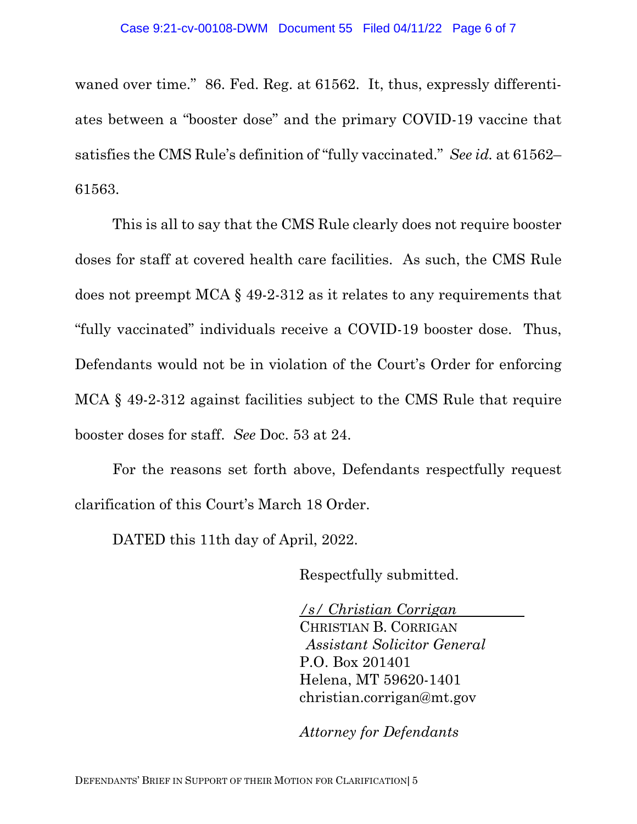waned over time." 86. Fed. Reg. at 61562. It, thus, expressly differentiates between a "booster dose" and the primary COVID-19 vaccine that satisfies the CMS Rule's definition of "fully vaccinated." *See id.* at 61562– 61563.

This is all to say that the CMS Rule clearly does not require booster doses for staff at covered health care facilities. As such, the CMS Rule does not preempt MCA § 49-2-312 as it relates to any requirements that "fully vaccinated" individuals receive a COVID-19 booster dose. Thus, Defendants would not be in violation of the Court's Order for enforcing MCA § 49-2-312 against facilities subject to the CMS Rule that require booster doses for staff. *See* Doc. 53 at 24.

For the reasons set forth above, Defendants respectfully request clarification of this Court's March 18 Order.

DATED this 11th day of April, 2022.

Respectfully submitted.

*/s/ Christian Corrigan*  CHRISTIAN B. CORRIGAN *Assistant Solicitor General* P.O. Box 201401 Helena, MT 59620-1401 christian.corrigan@mt.gov

*Attorney for Defendants*